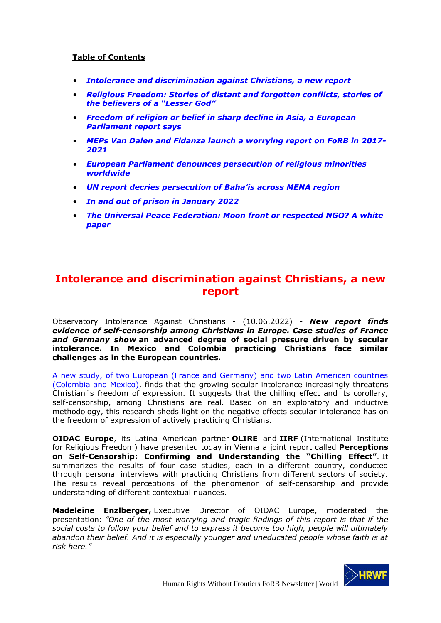### **Table of Contents**

- *[Intolerance and discrimination against Christians, a new report](#page-0-0)*
- *[Religious Freedom: Stories of distant and forgotten conflicts, stories of](#page-2-0)  the be[lievers of a "Lesser God"](#page-2-0)*
- *[Freedom of religion or belief in sharp decline in Asia, a European](#page-4-0)  [Parliament report says](#page-4-0)*
- *[MEPs Van Dalen and Fidanza launch a worrying report on FoRB in 2017-](#page-6-0) [2021](#page-6-0)*
- *[European Parliament denounces persecution of religious minorities](#page-9-0)  [worldwide](#page-9-0)*
- *[UN report decries persecution of Baha'is](#page-9-1) across MENA region*
- *[In and out of prison in January 2022](#page-12-0)*
- *The Universal Peace [Federation: Moon front or respected NGO? A white](#page-14-0)  [paper](#page-14-0)*

# <span id="page-0-0"></span>**Intolerance and discrimination against Christians, a new report**

Observatory Intolerance Against Christians - (10.06.2022) - *New report finds evidence of self-censorship among Christians in Europe. Case studies of France and Germany show* **an advanced degree of social pressure driven by secular intolerance. In Mexico and Colombia practicing Christians face similar challenges as in the European countries.**

[A new study, of two European \(France and Germany\) and two Latin American countries](https://www.intoleranceagainstchristians.eu/fileadmin/user_upload/publications/files/Chilling_Effect_2022_-_ONLINE_Version_A4.pdf?utm_medium=email&_hsmi=61365100&_hsenc=p2ANqtz--r_nGJsPltwr3B1sCjJ2JpBZyjtPkeu3Irs0xJ8jv-8v51H-jT32JxpGukmqntc3LhicqH2ck-tS6MwLbzOsfcQxmHVQ&utm_content=61365100&utm_source=hs_email)  [\(Colombia and Mexico\),](https://www.intoleranceagainstchristians.eu/fileadmin/user_upload/publications/files/Chilling_Effect_2022_-_ONLINE_Version_A4.pdf?utm_medium=email&_hsmi=61365100&_hsenc=p2ANqtz--r_nGJsPltwr3B1sCjJ2JpBZyjtPkeu3Irs0xJ8jv-8v51H-jT32JxpGukmqntc3LhicqH2ck-tS6MwLbzOsfcQxmHVQ&utm_content=61365100&utm_source=hs_email) finds that the growing secular intolerance increasingly threatens Christian´s freedom of expression. It suggests that the chilling effect and its corollary, self-censorship, among Christians are real. Based on an exploratory and inductive methodology, this research sheds light on the negative effects secular intolerance has on the freedom of expression of actively practicing Christians.

**OIDAC Europe**, its Latina American partner **OLIRE** and **IIRF** (International Institute for Religious Freedom) have presented today in Vienna a joint report called **Perceptions on Self-Censorship: Confirming and Understanding the "Chilling Effect"***.* It summarizes the results of four case studies, each in a different country, conducted through personal interviews with practicing Christians from different sectors of society. The results reveal perceptions of the phenomenon of self-censorship and provide understanding of different contextual nuances.

**Madeleine Enzlberger,** Executive Director of OIDAC Europe, moderated the presentation: *"One of the most worrying and tragic findings of this report is that if the social costs to follow your belief and to express it become too high, people will ultimately abandon their belief. And it is especially younger and uneducated people whose faith is at risk here."*

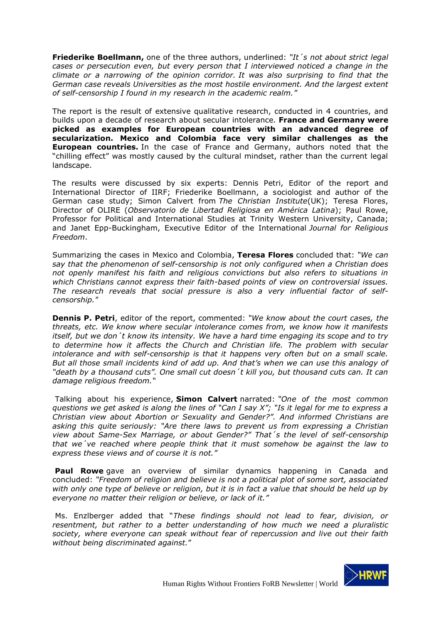**Friederike Boellmann,** one of the three authors, underlined: *"It´s not about strict legal cases or persecution even, but every person that I interviewed noticed a change in the climate or a narrowing of the opinion corridor. It was also surprising to find that the German case reveals Universities as the most hostile environment. And the largest extent of self-censorship I found in my research in the academic realm."*

The report is the result of extensive qualitative research, conducted in 4 countries, and builds upon a decade of research about secular intolerance. **France and Germany were picked as examples for European countries with an advanced degree of secularization. Mexico and Colombia face very similar challenges as the European countries.** In the case of France and Germany, authors noted that the "chilling effect" was mostly caused by the cultural mindset, rather than the current legal landscape.

The results were discussed by six experts: Dennis Petri, Editor of the report and International Director of IIRF; Friederike Boellmann, a sociologist and author of the German case study; Simon Calvert from *The Christian Institute*(UK); Teresa Flores, Director of OLIRE (*Observatorio de Libertad Religiosa en América Latina*); Paul Rowe, Professor for Political and International Studies at Trinity Western University, Canada; and Janet Epp-Buckingham, Executive Editor of the International *Journal for Religious Freedom*.

Summarizing the cases in Mexico and Colombia, **Teresa Flores** concluded that: *"We can say that the phenomenon of self-censorship is not only configured when a Christian does not openly manifest his faith and religious convictions but also refers to situations in which Christians cannot express their faith-based points of view on controversial issues. The research reveals that social pressure is also a very influential factor of selfcensorship."*

**Dennis P. Petri**, editor of the report, commented: *"We know about the court cases, the threats, etc. We know where secular intolerance comes from, we know how it manifests itself, but we don´t know its intensity. We have a hard time engaging its scope and to try to determine how it affects the Church and Christian life. The problem with secular intolerance and with self-censorship is that it happens very often but on a small scale. But all those small incidents kind of add up. And that's when we can use this analogy of "death by a thousand cuts". One small cut doesn´t kill you, but thousand cuts can. It can damage religious freedom."*

Talking about his experience, **Simon Calvert** narrated: *"One of the most common questions we get asked is along the lines of "Can I say X"; "Is it legal for me to express a Christian view about Abortion or Sexuality and Gender?". And informed Christians are asking this quite seriously: "Are there laws to prevent us from expressing a Christian view about Same-Sex Marriage, or about Gender?" That´s the level of self-censorship that we´ve reached where people think that it must somehow be against the law to express these views and of course it is not."*

**Paul Rowe** gave an overview of similar dynamics happening in Canada and concluded: *"Freedom of religion and believe is not a political plot of some sort, associated with only one type of believe or religion, but it is in fact a value that should be held up by everyone no matter their religion or believe, or lack of it."*

Ms. Enzlberger added that "*These findings should not lead to fear, division, or resentment, but rather to a better understanding of how much we need a pluralistic society, where everyone can speak without fear of repercussion and live out their faith without being discriminated against.*"

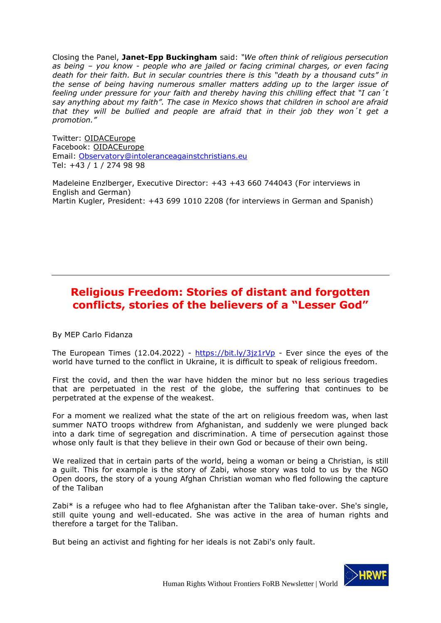Closing the Panel, **Janet-Epp Buckingham** said: *"We often think of religious persecution as being – you know - people who are jailed or facing criminal charges, or even facing death for their faith. But in secular countries there is this "death by a thousand cuts" in the sense of being having numerous smaller matters adding up to the larger issue of feeling under pressure for your faith and thereby having this chilling effect that "I can´t say anything about my faith". The case in Mexico shows that children in school are afraid that they will be bullied and people are afraid that in their job they won´t get a promotion."*

Twitter: [OIDACEurope](https://d30f4f04.eu1.hubspotlinksfree.com/Ctc/DO+113/d30F4F04/VVShl34cLKdcW2_5TVG5J6ydnVtG5yr4L6JwvN5q1hjN3lSbNV1-WJV7CgHFCW6dtG_31kN9zwW4DCNt-7YgcYPN7-V0zJ-C62GW8C6GL240G23SW6blLpx3fzY_pVWxgjs21FwyDVk787X2607rGV2ZfP35BQkhnVmf0T-1sk_W9N96MdVQq75tFW2zx90G8tt_PFW3Wk07n7bLZkrW3m6N2G8DwV47VGWQgY4QdGlwW9l5qKd1CtycKW3X7Xp03vd9QJN4B4lBVdXSvBVdh2jc30lp-lW65c8VF2Mf_KmW5Ql41l3tskMVW1JN8yM1yw_D1W5HWq_n7ZbqFB3cgD1) Facebook: [OIDACEurope](https://d30f4f04.eu1.hubspotlinksfree.com/Ctc/DO+113/d30F4F04/VVShl34cLKdcW2_5TVG5J6ydnVtG5yr4L6JwvN5q1hjN3lSbNV1-WJV7CgQkcN8tKc2ZgMtxwW6BM7zj4h3tGhW6g1l5P4DXJnFW22QpyT1VYL7WW3mll0Z1pqMLfN187c_V6qCCWW8kVLTR68-XYTVWR9KF7fGzjHW2DTbgS7tMtbJN10dZtm_WKy_W40gCXj4n0r3xW2Q28t36xRS9QW90tLDR5BXggwW8CxKqg43d5LTVlRGm65VDpXdW4H2TKZ4VbMm4W4z95Bw7fZXTSW821MGR57wKj5N4-gQXyrZ_gWVyFVSC6BHYGvV7skTT10yzflW8tS-ry6mslbJ3fPv1) Email: [Observatory@intoleranceagainstchristians.eu](mailto:Observatory@intoleranceagainstchristians.eu) Tel: +43 / 1 / 274 98 98

Madeleine Enzlberger, Executive Director: +43 +43 660 744043 (For interviews in English and German) Martin Kugler, President: +43 699 1010 2208 (for interviews in German and Spanish)

# <span id="page-2-0"></span>**Religious Freedom: Stories of distant and forgotten conflicts, stories of the believers of a "Lesser God"**

By MEP Carlo Fidanza

The European Times (12.04.2022) - <https://bit.ly/3jz1rVp> - Ever since the eyes of the world have turned to the conflict in Ukraine, it is difficult to speak of religious freedom.

First the covid, and then the war have hidden the minor but no less serious tragedies that are perpetuated in the rest of the globe, the suffering that continues to be perpetrated at the expense of the weakest.

For a moment we realized what the state of the art on religious freedom was, when last summer NATO troops withdrew from Afghanistan, and suddenly we were plunged back into a dark time of segregation and discrimination. A time of persecution against those whose only fault is that they believe in their own God or because of their own being.

We realized that in certain parts of the world, being a woman or being a Christian, is still a guilt. This for example is the story of Zabi, whose story was told to us by the NGO Open doors, the story of a young Afghan Christian woman who fled following the capture of the Taliban

Zabi\* is a refugee who had to flee Afghanistan after the Taliban take-over. She's single, still quite young and well-educated. She was active in the area of human rights and therefore a target for the Taliban.

But being an activist and fighting for her ideals is not Zabi's only fault.

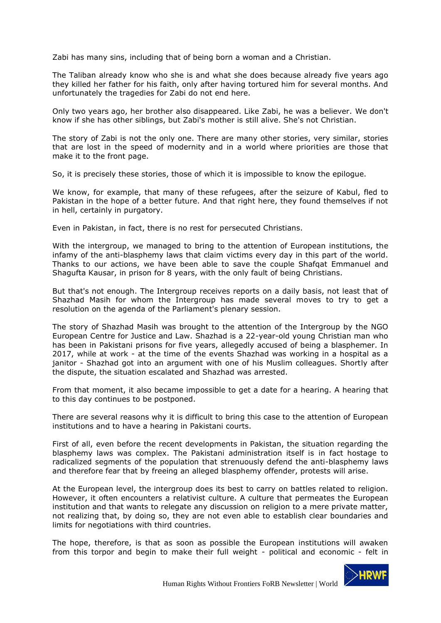Zabi has many sins, including that of being born a woman and a Christian.

The Taliban already know who she is and what she does because already five years ago they killed her father for his faith, only after having tortured him for several months. And unfortunately the tragedies for Zabi do not end here.

Only two years ago, her brother also disappeared. Like Zabi, he was a believer. We don't know if she has other siblings, but Zabi's mother is still alive. She's not Christian.

The story of Zabi is not the only one. There are many other stories, very similar, stories that are lost in the speed of modernity and in a world where priorities are those that make it to the front page.

So, it is precisely these stories, those of which it is impossible to know the epilogue.

We know, for example, that many of these refugees, after the seizure of Kabul, fled to Pakistan in the hope of a better future. And that right here, they found themselves if not in hell, certainly in purgatory.

Even in Pakistan, in fact, there is no rest for persecuted Christians.

With the intergroup, we managed to bring to the attention of European institutions, the infamy of the anti-blasphemy laws that claim victims every day in this part of the world. Thanks to our actions, we have been able to save the couple Shafqat Emmanuel and Shagufta Kausar, in prison for 8 years, with the only fault of being Christians.

But that's not enough. The Intergroup receives reports on a daily basis, not least that of Shazhad Masih for whom the Intergroup has made several moves to try to get a resolution on the agenda of the Parliament's plenary session.

The story of Shazhad Masih was brought to the attention of the Intergroup by the NGO European Centre for Justice and Law. Shazhad is a 22-year-old young Christian man who has been in Pakistani prisons for five years, allegedly accused of being a blasphemer. In 2017, while at work - at the time of the events Shazhad was working in a hospital as a janitor - Shazhad got into an argument with one of his Muslim colleagues. Shortly after the dispute, the situation escalated and Shazhad was arrested.

From that moment, it also became impossible to get a date for a hearing. A hearing that to this day continues to be postponed.

There are several reasons why it is difficult to bring this case to the attention of European institutions and to have a hearing in Pakistani courts.

First of all, even before the recent developments in Pakistan, the situation regarding the blasphemy laws was complex. The Pakistani administration itself is in fact hostage to radicalized segments of the population that strenuously defend the anti-blasphemy laws and therefore fear that by freeing an alleged blasphemy offender, protests will arise.

At the European level, the intergroup does its best to carry on battles related to religion. However, it often encounters a relativist culture. A culture that permeates the European institution and that wants to relegate any discussion on religion to a mere private matter, not realizing that, by doing so, they are not even able to establish clear boundaries and limits for negotiations with third countries.

The hope, therefore, is that as soon as possible the European institutions will awaken from this torpor and begin to make their full weight - political and economic - felt in

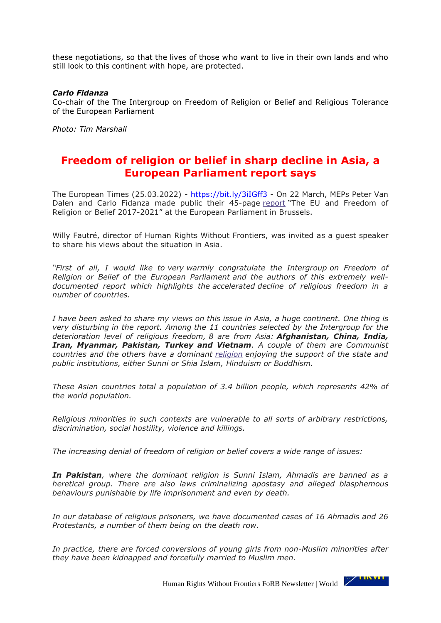these negotiations, so that the lives of those who want to live in their own lands and who still look to this continent with hope, are protected.

#### *Carlo Fidanza*

Co-chair of the The Intergroup on Freedom of Religion or Belief and Religious Tolerance of the European Parliament

*Photo: Tim Marshall*

# <span id="page-4-0"></span>**Freedom of religion or belief in sharp decline in Asia, a European Parliament report says**

The European Times (25.03.2022) - <https://bit.ly/3iIGff3> - On 22 March, MEPs Peter Van Dalen and Carlo Fidanza made public their 45-page [report](http://www.religiousfreedom.eu/wp-content/uploads/2022/03/Intergroup-FoRB-Report-Final-2021.pdf) "The EU and Freedom of Religion or Belief 2017-2021" at the European Parliament in Brussels.

Willy Fautré, director of Human Rights Without Frontiers, was invited as a guest speaker to share his views about the situation in Asia.

*"First of all, I would like to very warmly congratulate the Intergroup on Freedom of Religion or Belief of the European Parliament and the authors of this extremely welldocumented report which highlights the accelerated decline of religious freedom in a number of countries.*

*I have been asked to share my views on this issue in Asia, a huge continent. One thing is very disturbing in the report. Among the 11 countries selected by the Intergroup for the deterioration level of religious freedom, 8 are from Asia: Afghanistan, China, India, Iran, Myanmar, Pakistan, Turkey and Vietnam. A couple of them are Communist countries and the others have a dominant [religion](https://www.europeantimes.news/category/religion/) enjoying the support of the state and public institutions, either Sunni or Shia Islam, Hinduism or Buddhism.*

*These Asian countries total a population of 3.4 billion people, which represents 42% of the world population.*

*Religious minorities in such contexts are vulnerable to all sorts of arbitrary restrictions, discrimination, social hostility, violence and killings.*

*The increasing denial of freedom of religion or belief covers a wide range of issues:*

*In Pakistan, where the dominant religion is Sunni Islam, Ahmadis are banned as a heretical group. There are also laws criminalizing apostasy and alleged blasphemous behaviours punishable by life imprisonment and even by death.*

*In our database of religious prisoners, we have documented cases of 16 Ahmadis and 26 Protestants, a number of them being on the death row.*

*In practice, there are forced conversions of young girls from non-Muslim minorities after they have been kidnapped and forcefully married to Muslim men.*

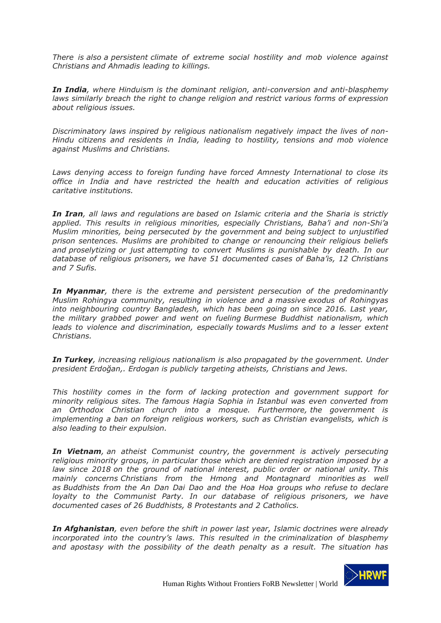*There is also a persistent climate of extreme social hostility and mob violence against Christians and Ahmadis leading to killings.*

*In India, where Hinduism is the dominant religion, anti-conversion and anti-blasphemy laws similarly breach the right to change religion and restrict various forms of expression about religious issues.*

*Discriminatory laws inspired by religious nationalism negatively impact the lives of non-Hindu citizens and residents in India, leading to hostility, tensions and mob violence against Muslims and Christians.*

*Laws denying access to foreign funding have forced Amnesty International to close its office in India and have restricted the health and education activities of religious caritative institutions.*

*In Iran, all laws and regulations are based on Islamic criteria and the Sharia is strictly applied. This results in religious minorities, especially Christians, Baha'i and non-Shi'a Muslim minorities, being persecuted by the government and being subject to unjustified prison sentences. Muslims are prohibited to change or renouncing their religious beliefs and proselytizing or just attempting to convert Muslims is punishable by death. In our database of religious prisoners, we have 51 documented cases of Baha'is, 12 Christians and 7 Sufis.*

*In Myanmar, there is the extreme and persistent persecution of the predominantly Muslim Rohingya community, resulting in violence and a massive exodus of Rohingyas into neighbouring country Bangladesh, which has been going on since 2016. Last year, the military grabbed power and went on fueling Burmese Buddhist nationalism, which leads to violence and discrimination, especially towards Muslims and to a lesser extent Christians.*

*In Turkey, increasing religious nationalism is also propagated by the government. Under president Erdoğan,. Erdogan is publicly targeting atheists, Christians and Jews.*

*This hostility comes in the form of lacking protection and government support for minority religious sites. The famous Hagia Sophia in Istanbul was even converted from an Orthodox Christian church into a mosque. Furthermore, the government is implementing a ban on foreign religious workers, such as Christian evangelists, which is also leading to their expulsion.*

*In Vietnam, an atheist Communist country, the government is actively persecuting religious minority groups, in particular those which are denied registration imposed by a law since 2018 on the ground of national interest, public order or national unity. This mainly concerns Christians from the Hmong and Montagnard minorities as well as Buddhists from the An Dan Dai Dao and the Hoa Hoa groups who refuse to declare loyalty to the Communist Party. In our database of religious prisoners, we have documented cases of 26 Buddhists, 8 Protestants and 2 Catholics.*

*In Afghanistan, even before the shift in power last year, Islamic doctrines were already incorporated into the country's laws. This resulted in the criminalization of blasphemy and apostasy with the possibility of the death penalty as a result. The situation has* 

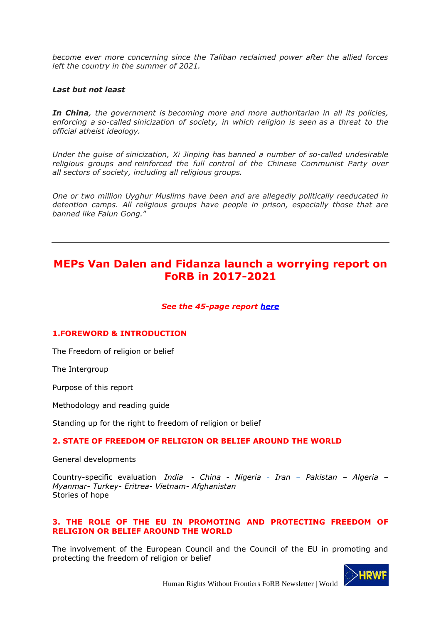*become ever more concerning since the Taliban reclaimed power after the allied forces left the country in the summer of 2021.*

#### *Last but not least*

*In China, the government is becoming more and more authoritarian in all its policies, enforcing a so-called sinicization of society, in which religion is seen as a threat to the official atheist ideology.*

*Under the guise of sinicization, Xi Jinping has banned a number of so-called undesirable religious groups and reinforced the full control of the Chinese Communist Party over all sectors of society, including all religious groups.*

*One or two million Uyghur Muslims have been and are allegedly politically reeducated in detention camps. All religious groups have people in prison, especially those that are banned like Falun Gong.*"

# <span id="page-6-0"></span>**MEPs Van Dalen and Fidanza launch a worrying report on FoRB in 2017-2021**

#### *See the 45-page report [here](http://www.religiousfreedom.eu/wp-content/uploads/2022/03/Intergroup-FoRB-Report-Final-2021.pdf)*

#### **1.FOREWORD & INTRODUCTION**

The Freedom of religion or belief

The Intergroup

Purpose of this report

Methodology and reading guide

Standing up for the right to freedom of religion or belief

### **2. STATE OF FREEDOM OF RELIGION OR BELIEF AROUND THE WORLD**

General developments

Country-specific evaluation *India* - *China* - *Nigeria* - *Iran* – *Pakistan – Algeria – Myanmar- Turkey- Eritrea- Vietnam- Afghanistan* Stories of hope

#### **3. THE ROLE OF THE EU IN PROMOTING AND PROTECTING FREEDOM OF RELIGION OR BELIEF AROUND THE WORLD**

The involvement of the European Council and the Council of the EU in promoting and protecting the freedom of religion or belief

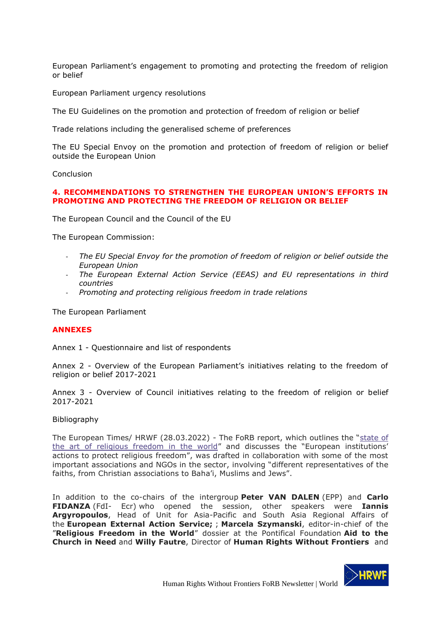European Parliament's engagement to promoting and protecting the freedom of religion or belief

European Parliament urgency resolutions

The EU Guidelines on the promotion and protection of freedom of religion or belief

Trade relations including the generalised scheme of preferences

The EU Special Envoy on the promotion and protection of freedom of religion or belief outside the European Union

Conclusion

### **4. RECOMMENDATIONS TO STRENGTHEN THE EUROPEAN UNION'S EFFORTS IN PROMOTING AND PROTECTING THE FREEDOM OF RELIGION OR BELIEF**

The European Council and the Council of the EU

The European Commission:

- *The EU Special Envoy for the promotion of freedom of religion or belief outside the European Union*
- *The European External Action Service (EEAS) and EU representations in third countries*
- *Promoting and protecting religious freedom in trade relations*

The European Parliament

#### **ANNEXES**

Annex 1 - Questionnaire and list of respondents

Annex 2 - Overview of the European Parliament's initiatives relating to the freedom of religion or belief 2017-2021

Annex 3 - Overview of Council initiatives relating to the freedom of religion or belief 2017-2021

#### Bibliography

The European Times/ HRWF (28.03.2022) - The FoRB report, which outlines the "[state of](http://www.religiousfreedom.eu/2022/03/23/elementor-1023/)  [the art of religious freedom in the world](http://www.religiousfreedom.eu/2022/03/23/elementor-1023/)" and discusses the "European institutions' actions to protect religious freedom", was drafted in collaboration with some of the most important associations and NGOs in the sector, involving "different representatives of the faiths, from Christian associations to Baha'i, Muslims and Jews".

In addition to the co-chairs of the intergroup **Peter VAN DALEN** (EPP) and **Carlo FIDANZA** (FdI- Ecr) who opened the session, other speakers were **Iannis Argyropoulos**, Head of Unit for Asia-Pacific and South Asia Regional Affairs of the **European External Action Service;** ; **Marcela Szymanski**, editor-in-chief of the "**Religious Freedom in the World**" dossier at the Pontifical Foundation **Aid to the Church in Need** and **Willy Fautre**, Director of **Human Rights Without Frontiers** and

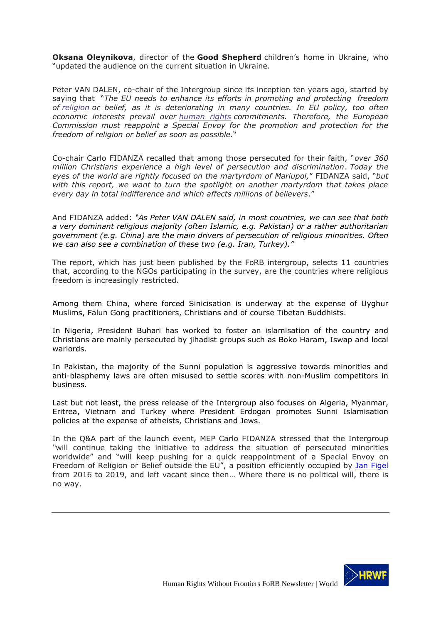**Oksana Oleynikova**, director of the **Good Shepherd** children's home in Ukraine, who "updated the audience on the current situation in Ukraine.

Peter VAN DALEN, co-chair of the Intergroup since its inception ten years ago, started by saying that "*The EU needs to enhance its efforts in promoting and protecting freedom of [religion](https://www.europeantimes.news/category/religion/) or belief, as it is deteriorating in many countries. In EU policy, too often economic interests prevail over [human rights](https://bit.ly/32MBOeM) commitments. Therefore, the European Commission must reappoint a Special Envoy for the promotion and protection for the freedom of religion or belief as soon as possible.*"

Co-chair Carlo FIDANZA recalled that among those persecuted for their faith, "*over 360 million Christians experience a high level of persecution and discrimination*. *Today the eyes of the world are rightly focused on the martyrdom of Mariupol,*" FIDANZA said, "*but with this report, we want to turn the spotlight on another martyrdom that takes place every day in total indifference and which affects millions of believers.*"

And FIDANZA added: *"As Peter VAN DALEN said, in most countries, we can see that both a very dominant religious majority (often Islamic, e.g. Pakistan) or a rather authoritarian government (e.g. China) are the main drivers of persecution of religious minorities. Often we can also see a combination of these two (e.g. Iran, Turkey)."*

The report, which has just been published by the FoRB intergroup, selects 11 countries that, according to the NGOs participating in the survey, are the countries where religious freedom is increasingly restricted.

Among them China, where forced Sinicisation is underway at the expense of Uyghur Muslims, Falun Gong practitioners, Christians and of course Tibetan Buddhists.

In Nigeria, President Buhari has worked to foster an islamisation of the country and Christians are mainly persecuted by jihadist groups such as Boko Haram, Iswap and local warlords.

In Pakistan, the majority of the Sunni population is aggressive towards minorities and anti-blasphemy laws are often misused to settle scores with non-Muslim competitors in business.

Last but not least, the press release of the Intergroup also focuses on Algeria, Myanmar, Eritrea, Vietnam and Turkey where President Erdogan promotes Sunni Islamisation policies at the expense of atheists, Christians and Jews.

In the Q&A part of the launch event, MEP Carlo FIDANZA stressed that the Intergroup *"*will continue taking the initiative to address the situation of persecuted minorities worldwide" and "will keep pushing for a quick reappointment of a Special Envoy on Freedom of Religion or Belief outside the EU", a position efficiently occupied by [Jan Figel](https://en.wikipedia.org/wiki/Ján_Figeľ) from 2016 to 2019, and left vacant since then… Where there is no political will, there is no way.

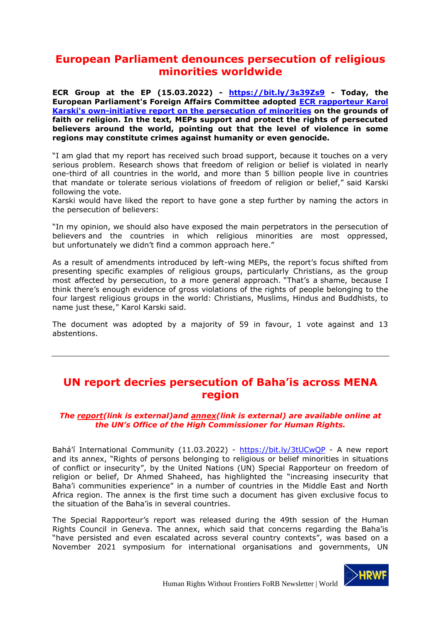# <span id="page-9-0"></span>**European Parliament denounces persecution of religious minorities worldwide**

**ECR Group at the EP (15.03.2022) - <https://bit.ly/3s39Zs9> - Today, the European Parliament's Foreign Affairs Committee adopted [ECR rapporteur Karol](https://www.europarl.europa.eu/doceo/document/A-9-2022-0071_EN.html)  [Karski's own-initiative report on the persecution of minorities](https://www.europarl.europa.eu/doceo/document/A-9-2022-0071_EN.html) on the grounds of faith or religion. In the text, MEPs support and protect the rights of persecuted believers around the world, pointing out that the level of violence in some regions may constitute crimes against humanity or even genocide.**

"I am glad that my report has received such broad support, because it touches on a very serious problem. Research shows that freedom of religion or belief is violated in nearly one-third of all countries in the world, and more than 5 billion people live in countries that mandate or tolerate serious violations of freedom of religion or belief," said Karski following the vote.

Karski would have liked the report to have gone a step further by naming the actors in the persecution of believers:

"In my opinion, we should also have exposed the main perpetrators in the persecution of believers and the countries in which religious minorities are most oppressed, but unfortunately we didn't find a common approach here."

As a result of amendments introduced by left-wing MEPs, the report's focus shifted from presenting specific examples of religious groups, particularly Christians, as the group most affected by persecution, to a more general approach. "That's a shame, because I think there's enough evidence of gross violations of the rights of people belonging to the four largest religious groups in the world: Christians, Muslims, Hindus and Buddhists, to name just these," Karol Karski said.

The document was adopted by a majority of 59 in favour, 1 vote against and 13 abstentions.

# <span id="page-9-1"></span>**UN report decries persecution of Baha'is across MENA region**

#### *The [report\(link is external\)a](https://www.ohchr.org/EN/HRBodies/HRC/RegularSessions/Session49/Documents/A_HRC_49_44_AdvanceUneditedVersion.docx)nd [annex\(link is external\)](https://www.ohchr.org/Documents/Issues/Religion/Annex-Bahai-minority.docx) are available online at the UN's Office of the High Commissioner for Human Rights.*

Bahá'í International Community (11.03.2022) - <https://bit.ly/3tUCwQP> - A new report and its annex, "Rights of persons belonging to religious or belief minorities in situations of conflict or insecurity", by the United Nations (UN) Special Rapporteur on freedom of religion or belief, Dr Ahmed Shaheed, has highlighted the "increasing insecurity that Baha'i communities experience" in a number of countries in the Middle East and North Africa region. The annex is the first time such a document has given exclusive focus to the situation of the Baha'is in several countries.

The Special Rapporteur's report was released during the 49th session of the Human Rights Council in Geneva. The annex, which said that concerns regarding the Baha'is "have persisted and even escalated across several country contexts", was based on a November 2021 symposium for international organisations and governments, UN

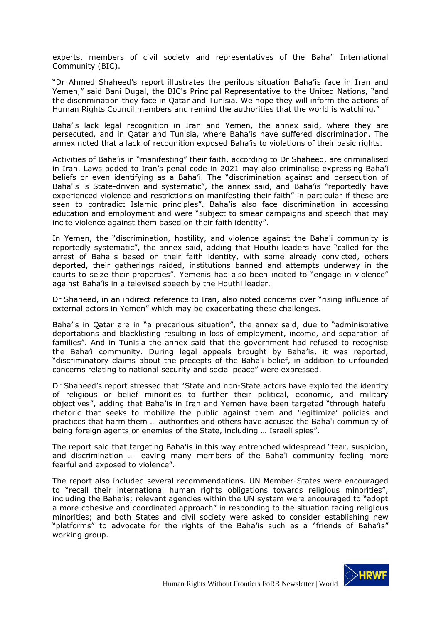experts, members of civil society and representatives of the Baha'i International Community (BIC).

"Dr Ahmed Shaheed's report illustrates the perilous situation Baha'is face in Iran and Yemen," said Bani Dugal, the BIC's Principal Representative to the United Nations, "and the discrimination they face in Qatar and Tunisia. We hope they will inform the actions of Human Rights Council members and remind the authorities that the world is watching."

Baha'is lack legal recognition in Iran and Yemen, the annex said, where they are persecuted, and in Qatar and Tunisia, where Baha'is have suffered discrimination. The annex noted that a lack of recognition exposed Baha'is to violations of their basic rights.

Activities of Baha'is in "manifesting" their faith, according to Dr Shaheed, are criminalised in Iran. Laws added to Iran's penal code in 2021 may also criminalise expressing Baha'i beliefs or even identifying as a Baha'i. The "discrimination against and persecution of Baha'is is State-driven and systematic", the annex said, and Baha'is "reportedly have experienced violence and restrictions on manifesting their faith" in particular if these are seen to contradict Islamic principles". Baha'is also face discrimination in accessing education and employment and were "subject to smear campaigns and speech that may incite violence against them based on their faith identity".

In Yemen, the "discrimination, hostility, and violence against the Baha'i community is reportedly systematic", the annex said, adding that Houthi leaders have "called for the arrest of Baha'is based on their faith identity, with some already convicted, others deported, their gatherings raided, institutions banned and attempts underway in the courts to seize their properties". Yemenis had also been incited to "engage in violence" against Baha'is in a televised speech by the Houthi leader.

Dr Shaheed, in an indirect reference to Iran, also noted concerns over "rising influence of external actors in Yemen" which may be exacerbating these challenges.

Baha'is in Qatar are in "a precarious situation", the annex said, due to "administrative deportations and blacklisting resulting in loss of employment, income, and separation of families". And in Tunisia the annex said that the government had refused to recognise the Baha'i community. During legal appeals brought by Baha'is, it was reported, "discriminatory claims about the precepts of the Baha'i belief, in addition to unfounded concerns relating to national security and social peace" were expressed.

Dr Shaheed's report stressed that "State and non-State actors have exploited the identity of religious or belief minorities to further their political, economic, and military objectives", adding that Baha'is in Iran and Yemen have been targeted "through hateful rhetoric that seeks to mobilize the public against them and 'legitimize' policies and practices that harm them … authorities and others have accused the Baha'i community of being foreign agents or enemies of the State, including … Israeli spies".

The report said that targeting Baha'is in this way entrenched widespread "fear, suspicion, and discrimination … leaving many members of the Baha'i community feeling more fearful and exposed to violence".

The report also included several recommendations. UN Member-States were encouraged to "recall their international human rights obligations towards religious minorities", including the Baha'is; relevant agencies within the UN system were encouraged to "adopt a more cohesive and coordinated approach" in responding to the situation facing religious minorities; and both States and civil society were asked to consider establishing new "platforms" to advocate for the rights of the Baha'is such as a "friends of Baha'is" working group.

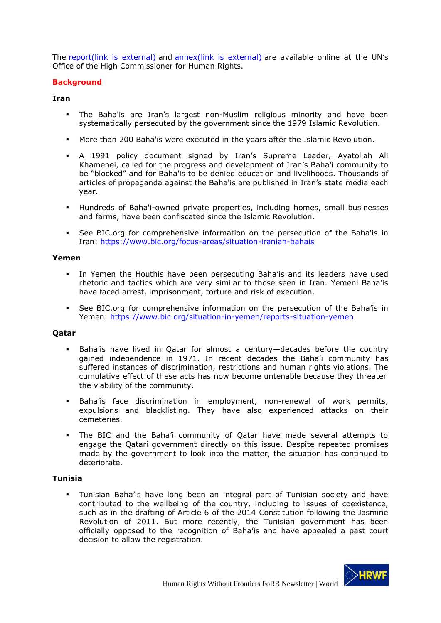The [report\(link is external\)](https://www.ohchr.org/EN/HRBodies/HRC/RegularSessions/Session49/Documents/A_HRC_49_44_AdvanceUneditedVersion.docx) and [annex\(link is external\)](https://www.ohchr.org/Documents/Issues/Religion/Annex-Bahai-minority.docx) are available online at the UN's Office of the High Commissioner for Human Rights.

#### **Background**

#### **Iran**

- The Baha'is are Iran's largest non-Muslim religious minority and have been systematically persecuted by the government since the 1979 Islamic Revolution.
- More than 200 Baha'is were executed in the years after the Islamic Revolution.
- A 1991 policy document signed by Iran's Supreme Leader, Ayatollah Ali Khamenei, called for the progress and development of Iran's Baha'i community to be "blocked" and for Baha'is to be denied education and livelihoods. Thousands of articles of propaganda against the Baha'is are published in Iran's state media each year.
- Hundreds of Baha'i-owned private properties, including homes, small businesses and farms, have been confiscated since the Islamic Revolution.
- See BIC.org for comprehensive information on the persecution of the Baha'is in Iran: <https://www.bic.org/focus-areas/situation-iranian-bahais>

#### **Yemen**

- In Yemen the Houthis have been persecuting Baha'is and its leaders have used rhetoric and tactics which are very similar to those seen in Iran. Yemeni Baha'is have faced arrest, imprisonment, torture and risk of execution.
- See BIC.org for comprehensive information on the persecution of the Baha'is in Yemen: <https://www.bic.org/situation-in-yemen/reports-situation-yemen>

#### **Qatar**

- Baha'is have lived in Qatar for almost a century—decades before the country gained independence in 1971. In recent decades the Baha'i community has suffered instances of discrimination, restrictions and human rights violations. The cumulative effect of these acts has now become untenable because they threaten the viability of the community.
- **E** Baha'is face discrimination in employment, non-renewal of work permits, expulsions and blacklisting. They have also experienced attacks on their cemeteries.
- The BIC and the Baha'i community of Qatar have made several attempts to engage the Qatari government directly on this issue. Despite repeated promises made by the government to look into the matter, the situation has continued to deteriorate.

#### **Tunisia**

▪ Tunisian Baha'is have long been an integral part of Tunisian society and have contributed to the wellbeing of the country, including to issues of coexistence, such as in the drafting of Article 6 of the 2014 Constitution following the Jasmine Revolution of 2011. But more recently, the Tunisian government has been officially opposed to the recognition of Baha'is and have appealed a past court decision to allow the registration.

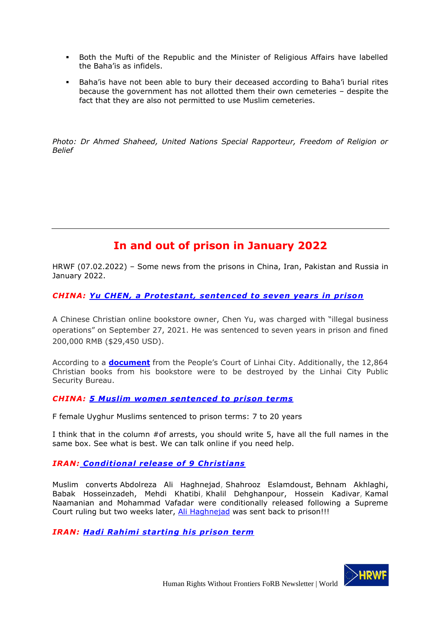- Both the Mufti of the Republic and the Minister of Religious Affairs have labelled the Baha'is as infidels.
- **EX** Baha'is have not been able to bury their deceased according to Baha'i burial rites because the government has not allotted them their own cemeteries – despite the fact that they are also not permitted to use Muslim cemeteries.

*Photo: Dr Ahmed Shaheed, United Nations Special Rapporteur, Freedom of Religion or Belief*

# **In and out of prison in January 2022**

<span id="page-12-0"></span>HRWF (07.02.2022) – Some news from the prisons in China, Iran, Pakistan and Russia in January 2022.

*CHINA: [Yu CHEN, a Protestant, sentenced to seven years in prison](https://bitterwinter.org/chen-yu-seven-year-sentence-christian-books/)*

A Chinese Christian online bookstore owner, Chen Yu, was charged with "illegal business operations" on September 27, 2021. He was sentenced to seven years in prison and fined 200,000 RMB (\$29,450 USD).

According to a **[document](https://pbs.twimg.com/media/EjLBqt6U8AEBJIJ?format=jpg&name=medium)** from the People's Court of Linhai City. Additionally, the 12,864 Christian books from his bookstore were to be destroyed by the Linhai City Public Security Bureau.

### *CHINA: [5 Muslim women sentenced to prison terms](https://www.rfa.org/english/news/uyghur/five-women-01212022165157.html)*

F female Uyghur Muslims sentenced to prison terms: 7 to 20 years

I think that in the column #of arrests, you should write 5, have all the full names in the same box. See what is best. We can talk online if you need help.

### *IRAN: [Conditional release of 9 Christians](https://articleeighteen.com/news/9998/)*

Muslim converts Abdolreza Ali Haghnejad, Shahrooz Eslamdoust, Behnam Akhlaghi, Babak Hosseinzadeh, Mehdi Khatibi, Khalil Dehghanpour, Hossein Kadivar, Kamal Naamanian and Mohammad Vafadar were conditionally released following a Supreme Court ruling but two weeks later, [Ali Haghnejad](https://articleeighteen.com/news/10105/) was sent back to prison!!!

*IRAN: [Hadi Rahimi starting his prison term](https://articleeighteen.com/news/10027/)*

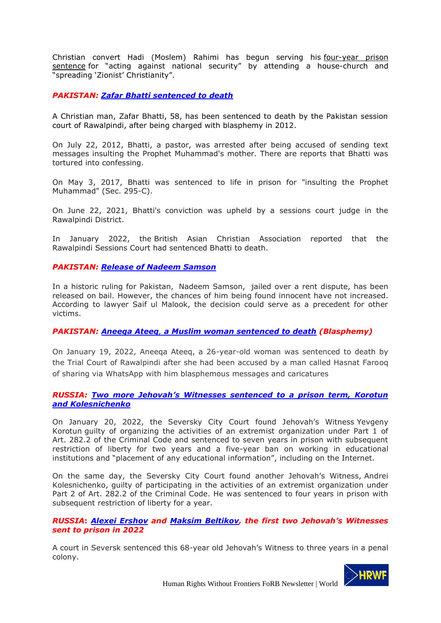Christian convert Hadi (Moslem) Rahimi has begun serving his four-year prison [sentence](https://articleeighteen.com/news/6548/) for "acting against national security" by attending a house-church and "spreading 'Zionist' Christianity".

*PAKISTAN: [Zafar Bhatti sentenced to](http://www.fides.org/en/news/71420-ASIA_PAKISTAN_Christian_victims_of_blasphemy_a_Pastor_sentenced_to_death_a_layman_released_on_bail) death*

A Christian man, Zafar Bhatti, 58, has been sentenced to death by the Pakistan session court of Rawalpindi, after being charged with blasphemy in 2012.

On July 22, 2012, Bhatti, a pastor, was arrested after being accused of sending text messages insulting the Prophet Muhammad's mother. There are reports that Bhatti was tortured into confessing.

On May 3, 2017, Bhatti was sentenced to life in prison for "insulting the Prophet Muhammad" (Sec. 295-C).

On June 22, 2021, Bhatti's conviction was upheld by a sessions court judge in the Rawalpindi District.

In January 2022, the British Asian Christian Association reported that the Rawalpindi Sessions Court had sentenced Bhatti to death.

*PAKISTAN: [Release of Nadeem Samson](https://www.asianews.it/news-en/Islamabad:-Christian-accused-of-blasphemy-released-on-bail-54868.html)*

In a historic ruling for Pakistan, Nadeem Samson, jailed over a rent dispute, has been released on bail. However, the chances of him being found innocent have not increased. According to lawyer Saif ul Malook, the decision could serve as a precedent for other victims.

#### *PAKISTAN: Aneeqa Ateeq, [a Muslim woman sentenced to death](https://bitterwinter.org/blasphemy-even-a-muslim-woman-sentenced-to-death/) (Blasphemy)*

On January 19, 2022, Aneeqa Ateeq, a 26-year-old woman was sentenced to death by the Trial Court of Rawalpindi after she had been accused by a man called Hasnat Farooq of sharing via WhatsApp with him blasphemous messages and caricatures

#### *RUSSIA: [Two more Jehovah's Witnesses sentenced to a prison term, Korotun](https://bit.ly/33JlyvN)  [and Kolesnichenko](https://bit.ly/33JlyvN)*

On January 20, 2022, the Seversky City Court found Jehovah's Witness Yevgeny Korotun guilty of organizing the activities of an extremist organization under Part 1 of Art. 282.2 of the Criminal Code and sentenced to seven years in prison with subsequent restriction of liberty for two years and a five-year ban on working in educational institutions and "placement of any educational information", including on the Internet.

On the same day, the Seversky City Court found another Jehovah's Witness, Andrei Kolesnichenko, guilty of participating in the activities of an extremist organization under Part 2 of Art. 282.2 of the Criminal Code. He was sentenced to four years in prison with subsequent restriction of liberty for a year.

*RUSSIA***:** *[Alexei Ershov](https://www.europeantimes.news/2022/01/russia-aleksei-yershov-is-already-the-second-jehovahs-witness-to-be-sent-behind-bars-in-2022/) and [Maksim Beltikov](https://jw-russia.org/news/2022/01/171624.html), the first two Jehovah's Witnesses sent to prison in 2022*

A court in Seversk sentenced this 68-year old Jehovah's Witness to three years in a penal colony.

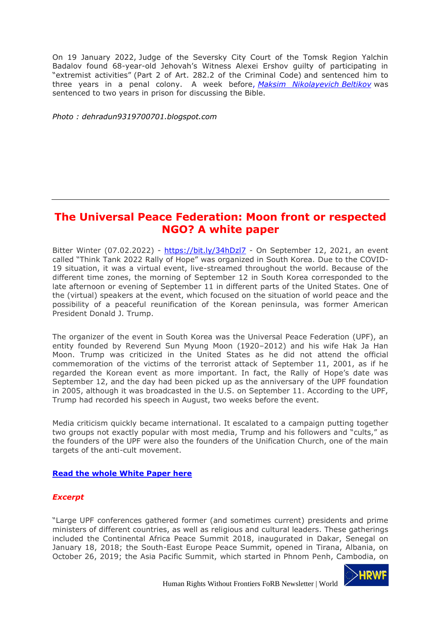On 19 January 2022, Judge of the Seversky City Court of the Tomsk Region Yalchin Badalov found 68-year-old Jehovah's Witness Alexei Ershov guilty of participating in "extremist activities" (Part 2 of Art. 282.2 of the Criminal Code) and sentenced him to three years in a penal colony. A week before, *[Maksim Nikolayevich](https://jw-russia.org/news/2022/01/171624.html) Beltikov* was sentenced to two years in prison for discussing the Bible.

*Photo : dehradun9319700701.blogspot.com*

## <span id="page-14-0"></span>**The Universal Peace Federation: Moon front or respected NGO? A white paper**

Bitter Winter (07.02.2022) - <https://bit.ly/34hDzl7> - On September 12, 2021, an event called "Think Tank 2022 Rally of Hope" was organized in South Korea. Due to the COVID-19 situation, it was a virtual event, live-streamed throughout the world. Because of the different time zones, the morning of September 12 in South Korea corresponded to the late afternoon or evening of September 11 in different parts of the United States. One of the (virtual) speakers at the event, which focused on the situation of world peace and the possibility of a peaceful reunification of the Korean peninsula, was former American President Donald J. Trump.

The organizer of the event in South Korea was the Universal Peace Federation (UPF), an entity founded by Reverend Sun Myung Moon (1920–2012) and his wife Hak Ja Han Moon. Trump was criticized in the United States as he did not attend the official commemoration of the victims of the terrorist attack of September 11, 2001, as if he regarded the Korean event as more important. In fact, the Rally of Hope's date was September 12, and the day had been picked up as the anniversary of the UPF foundation in 2005, although it was broadcasted in the U.S. on September 11. According to the UPF, Trump had recorded his speech in August, two weeks before the event.

Media criticism quickly became international. It escalated to a campaign putting together two groups not exactly popular with most media, Trump and his followers and "cults," as the founders of the UPF were also the founders of the Unification Church, one of the main targets of the anti-cult movement.

#### **[Read the whole White Paper here](https://bitterwinter.org/the-universal-peace-federation-moon-front-or-ngo/)**

### *Excerpt*

"Large UPF conferences gathered former (and sometimes current) presidents and prime ministers of different countries, as well as religious and cultural leaders. These gatherings included the Continental Africa Peace Summit 2018, inaugurated in Dakar, Senegal on January 18, 2018; the South-East Europe Peace Summit, opened in Tirana, Albania, on October 26, 2019; the Asia Pacific Summit, which started in Phnom Penh, Cambodia, on

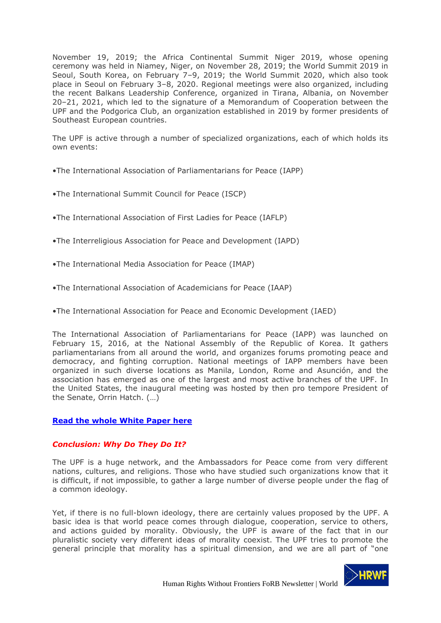November 19, 2019; the Africa Continental Summit Niger 2019, whose opening ceremony was held in Niamey, Niger, on November 28, 2019; the World Summit 2019 in Seoul, South Korea, on February 7–9, 2019; the World Summit 2020, which also took place in Seoul on February 3–8, 2020. Regional meetings were also organized, including the recent Balkans Leadership Conference, organized in Tirana, Albania, on November 20–21, 2021, which led to the signature of a Memorandum of Cooperation between the UPF and the Podgorica Club, an organization established in 2019 by former presidents of Southeast European countries.

The UPF is active through a number of specialized organizations, each of which holds its own events:

- •The International Association of Parliamentarians for Peace (IAPP)
- •The International Summit Council for Peace (ISCP)
- •The International Association of First Ladies for Peace (IAFLP)
- •The Interreligious Association for Peace and Development (IAPD)
- •The International Media Association for Peace (IMAP)
- •The International Association of Academicians for Peace (IAAP)
- •The International Association for Peace and Economic Development (IAED)

The International Association of Parliamentarians for Peace (IAPP) was launched on February 15, 2016, at the National Assembly of the Republic of Korea. It gathers parliamentarians from all around the world, and organizes forums promoting peace and democracy, and fighting corruption. National meetings of IAPP members have been organized in such diverse locations as Manila, London, Rome and Asunción, and the association has emerged as one of the largest and most active branches of the UPF. In the United States, the inaugural meeting was hosted by then pro tempore President of the Senate, Orrin Hatch. (…)

#### **[Read the whole White Paper here](https://bitterwinter.org/the-universal-peace-federation-moon-front-or-ngo/)**

#### *Conclusion: Why Do They Do It?*

The UPF is a huge network, and the Ambassadors for Peace come from very different nations, cultures, and religions. Those who have studied such organizations know that it is difficult, if not impossible, to gather a large number of diverse people under the flag of a common ideology.

Yet, if there is no full-blown ideology, there are certainly values proposed by the UPF. A basic idea is that world peace comes through dialogue, cooperation, service to others, and actions guided by morality. Obviously, the UPF is aware of the fact that in our pluralistic society very different ideas of morality coexist. The UPF tries to promote the general principle that morality has a spiritual dimension, and we are all part of "one

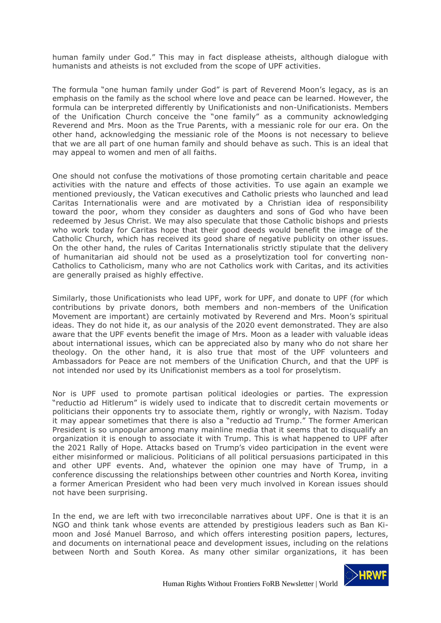human family under God." This may in fact displease atheists, although dialogue with humanists and atheists is not excluded from the scope of UPF activities.

The formula "one human family under God" is part of Reverend Moon's legacy, as is an emphasis on the family as the school where love and peace can be learned. However, the formula can be interpreted differently by Unificationists and non-Unificationists. Members of the Unification Church conceive the "one family" as a community acknowledging Reverend and Mrs. Moon as the True Parents, with a messianic role for our era. On the other hand, acknowledging the messianic role of the Moons is not necessary to believe that we are all part of one human family and should behave as such. This is an ideal that may appeal to women and men of all faiths.

One should not confuse the motivations of those promoting certain charitable and peace activities with the nature and effects of those activities. To use again an example we mentioned previously, the Vatican executives and Catholic priests who launched and lead Caritas Internationalis were and are motivated by a Christian idea of responsibility toward the poor, whom they consider as daughters and sons of God who have been redeemed by Jesus Christ. We may also speculate that those Catholic bishops and priests who work today for Caritas hope that their good deeds would benefit the image of the Catholic Church, which has received its good share of negative publicity on other issues. On the other hand, the rules of Caritas Internationalis strictly stipulate that the delivery of humanitarian aid should not be used as a proselytization tool for converting non-Catholics to Catholicism, many who are not Catholics work with Caritas, and its activities are generally praised as highly effective.

Similarly, those Unificationists who lead UPF, work for UPF, and donate to UPF (for which contributions by private donors, both members and non-members of the Unification Movement are important) are certainly motivated by Reverend and Mrs. Moon's spiritual ideas. They do not hide it, as our analysis of the 2020 event demonstrated. They are also aware that the UPF events benefit the image of Mrs. Moon as a leader with valuable ideas about international issues, which can be appreciated also by many who do not share her theology. On the other hand, it is also true that most of the UPF volunteers and Ambassadors for Peace are not members of the Unification Church, and that the UPF is not intended nor used by its Unificationist members as a tool for proselytism.

Nor is UPF used to promote partisan political ideologies or parties. The expression "reductio ad Hitlerum" is widely used to indicate that to discredit certain movements or politicians their opponents try to associate them, rightly or wrongly, with Nazism. Today it may appear sometimes that there is also a "reductio ad Trump." The former American President is so unpopular among many mainline media that it seems that to disqualify an organization it is enough to associate it with Trump. This is what happened to UPF after the 2021 Rally of Hope. Attacks based on Trump's video participation in the event were either misinformed or malicious. Politicians of all political persuasions participated in this and other UPF events. And, whatever the opinion one may have of Trump, in a conference discussing the relationships between other countries and North Korea, inviting a former American President who had been very much involved in Korean issues should not have been surprising.

In the end, we are left with two irreconcilable narratives about UPF. One is that it is an NGO and think tank whose events are attended by prestigious leaders such as Ban Kimoon and José Manuel Barroso, and which offers interesting position papers, lectures, and documents on international peace and development issues, including on the relations between North and South Korea. As many other similar organizations, it has been

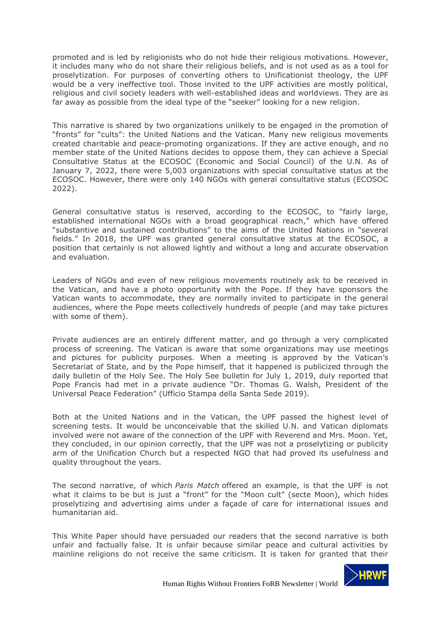promoted and is led by religionists who do not hide their religious motivations. However, it includes many who do not share their religious beliefs, and is not used as as a tool for proselytization. For purposes of converting others to Unificationist theology, the UPF would be a very ineffective tool. Those invited to the UPF activities are mostly political, religious and civil society leaders with well-established ideas and worldviews. They are as far away as possible from the ideal type of the "seeker" looking for a new religion.

This narrative is shared by two organizations unlikely to be engaged in the promotion of "fronts" for "cults": the United Nations and the Vatican. Many new religious movements created charitable and peace-promoting organizations. If they are active enough, and no member state of the United Nations decides to oppose them, they can achieve a Special Consultative Status at the ECOSOC (Economic and Social Council) of the U.N. As of January 7, 2022, there were 5,003 organizations with special consultative status at the ECOSOC. However, there were only 140 NGOs with general consultative status (ECOSOC 2022).

General consultative status is reserved, according to the ECOSOC, to "fairly large, established international NGOs with a broad geographical reach," which have offered "substantive and sustained contributions" to the aims of the United Nations in "several fields." In 2018, the UPF was granted general consultative status at the ECOSOC, a position that certainly is not allowed lightly and without a long and accurate observation and evaluation.

Leaders of NGOs and even of new religious movements routinely ask to be received in the Vatican, and have a photo opportunity with the Pope. If they have sponsors the Vatican wants to accommodate, they are normally invited to participate in the general audiences, where the Pope meets collectively hundreds of people (and may take pictures with some of them).

Private audiences are an entirely different matter, and go through a very complicated process of screening. The Vatican is aware that some organizations may use meetings and pictures for publicity purposes. When a meeting is approved by the Vatican's Secretariat of State, and by the Pope himself, that it happened is publicized through the daily bulletin of the Holy See. The Holy See bulletin for July 1, 2019, duly reported that Pope Francis had met in a private audience "Dr. Thomas G. Walsh, President of the Universal Peace Federation" (Ufficio Stampa della Santa Sede 2019).

Both at the United Nations and in the Vatican, the UPF passed the highest level of screening tests. It would be unconceivable that the skilled U.N. and Vatican diplomats involved were not aware of the connection of the UPF with Reverend and Mrs. Moon. Yet, they concluded, in our opinion correctly, that the UPF was not a proselytizing or publicity arm of the Unification Church but a respected NGO that had proved its usefulness and quality throughout the years.

The second narrative, of which *Paris Match* offered an example, is that the UPF is not what it claims to be but is just a "front" for the "Moon cult" (secte Moon), which hides proselytizing and advertising aims under a façade of care for international issues and humanitarian aid.

This White Paper should have persuaded our readers that the second narrative is both unfair and factually false. It is unfair because similar peace and cultural activities by mainline religions do not receive the same criticism. It is taken for granted that their

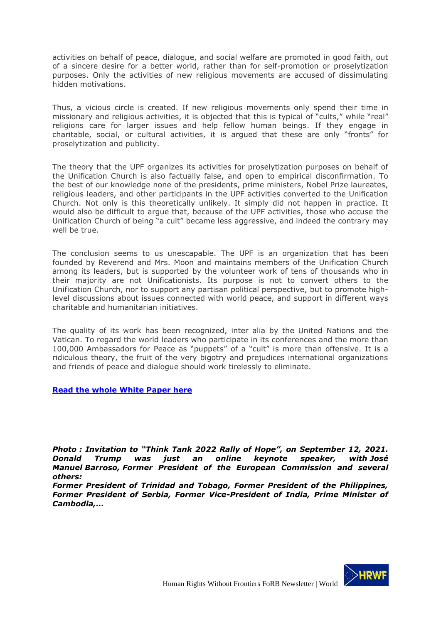activities on behalf of peace, dialogue, and social welfare are promoted in good faith, out of a sincere desire for a better world, rather than for self-promotion or proselytization purposes. Only the activities of new religious movements are accused of dissimulating hidden motivations.

Thus, a vicious circle is created. If new religious movements only spend their time in missionary and religious activities, it is objected that this is typical of "cults," while "real" religions care for larger issues and help fellow human beings. If they engage in charitable, social, or cultural activities, it is argued that these are only "fronts" for proselytization and publicity.

The theory that the UPF organizes its activities for proselytization purposes on behalf of the Unification Church is also factually false, and open to empirical disconfirmation. To the best of our knowledge none of the presidents, prime ministers, Nobel Prize laureates, religious leaders, and other participants in the UPF activities converted to the Unification Church. Not only is this theoretically unlikely. It simply did not happen in practice. It would also be difficult to argue that, because of the UPF activities, those who accuse the Unification Church of being "a cult" became less aggressive, and indeed the contrary may well be true.

The conclusion seems to us unescapable. The UPF is an organization that has been founded by Reverend and Mrs. Moon and maintains members of the Unification Church among its leaders, but is supported by the volunteer work of tens of thousands who in their majority are not Unificationists. Its purpose is not to convert others to the Unification Church, nor to support any partisan political perspective, but to promote highlevel discussions about issues connected with world peace, and support in different ways charitable and humanitarian initiatives.

The quality of its work has been recognized, inter alia by the United Nations and the Vatican. To regard the world leaders who participate in its conferences and the more than 100,000 Ambassadors for Peace as "puppets" of a "cult" is more than offensive. It is a ridiculous theory, the fruit of the very bigotry and prejudices international organizations and friends of peace and dialogue should work tirelessly to eliminate.

### **Read the whole White Paper here**

*Photo : Invitation to "Think Tank 2022 Rally of Hope", on September 12, 2021. Donald Trump was just an online keynote speaker, with José Manuel Barroso, Former President of the European Commission and several others:*

*Former President of Trinidad and Tobago, Former President of the Philippines, Former President of Serbia, Former Vice-President of India, Prime Minister of Cambodia,…*